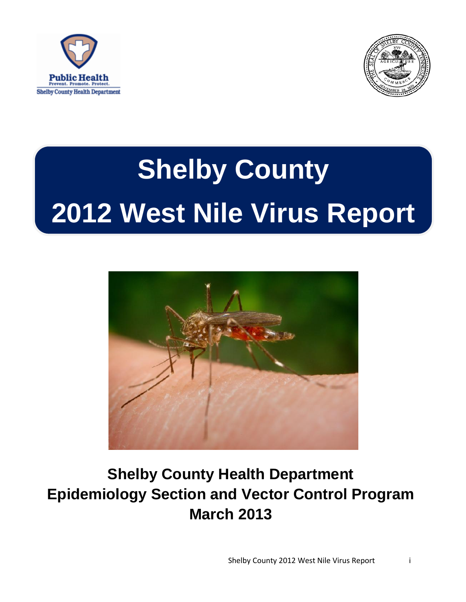



# **Shelby County 2012 West Nile Virus Report**



# **Shelby County Health Department Epidemiology Section and Vector Control Program March 2013**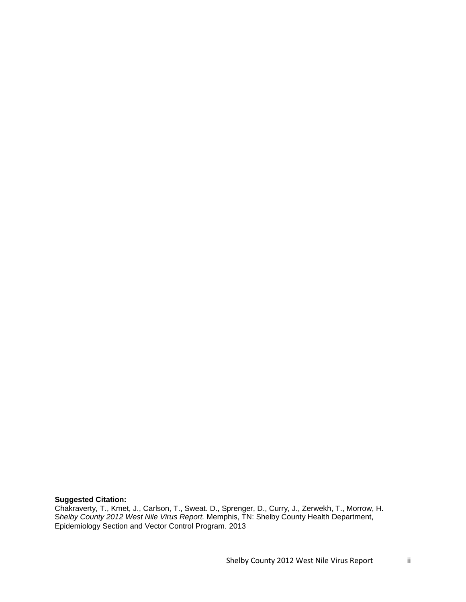**Suggested Citation:** 

Chakraverty, T., Kmet, J., Carlson, T., Sweat. D., Sprenger, D., Curry, J., Zerwekh, T., Morrow, H. S*helby County 2012 West Nile Virus Report.* Memphis, TN: Shelby County Health Department, Epidemiology Section and Vector Control Program. 2013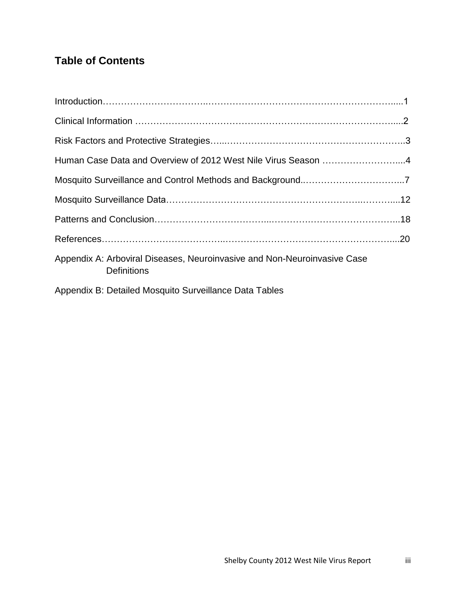# **Table of Contents**

| Human Case Data and Overview of 2012 West Nile Virus Season 4                                  |  |
|------------------------------------------------------------------------------------------------|--|
|                                                                                                |  |
|                                                                                                |  |
|                                                                                                |  |
|                                                                                                |  |
| Appendix A: Arboviral Diseases, Neuroinvasive and Non-Neuroinvasive Case<br><b>Definitions</b> |  |
| Appendix B: Detailed Mosquito Surveillance Data Tables                                         |  |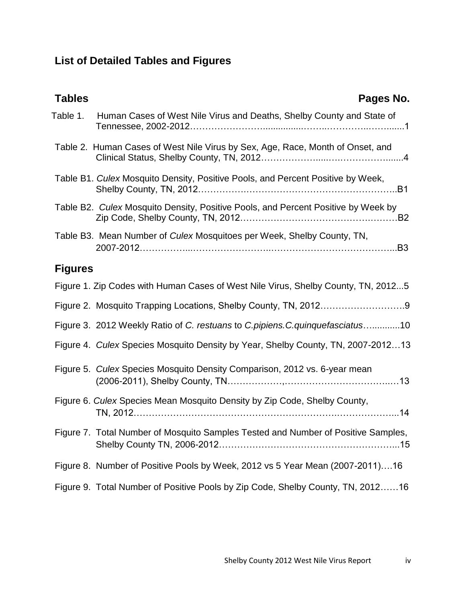# **List of Detailed Tables and Figures**

| <b>Tables</b>  | Pages No.                                                                         |
|----------------|-----------------------------------------------------------------------------------|
| Table 1.       | Human Cases of West Nile Virus and Deaths, Shelby County and State of             |
|                | Table 2. Human Cases of West Nile Virus by Sex, Age, Race, Month of Onset, and    |
|                | Table B1. Culex Mosquito Density, Positive Pools, and Percent Positive by Week,   |
|                | Table B2. Culex Mosquito Density, Positive Pools, and Percent Positive by Week by |
|                | Table B3. Mean Number of Culex Mosquitoes per Week, Shelby County, TN,            |
| <b>Figures</b> |                                                                                   |
|                | Figure 1. Zip Codes with Human Cases of West Nile Virus, Shelby County, TN, 20125 |
|                |                                                                                   |
|                | Figure 3. 2012 Weekly Ratio of C. restuans to C.pipiens.C.quinquefasciatus10      |
|                | Figure 4. Culex Species Mosquito Density by Year, Shelby County, TN, 2007-201213  |
|                | Figure 5. Culex Species Mosquito Density Comparison, 2012 vs. 6-year mean         |
|                | Figure 6. Culex Species Mean Mosquito Density by Zip Code, Shelby County,         |
|                | Figure 7. Total Number of Mosquito Samples Tested and Number of Positive Samples, |
|                | Figure 8. Number of Positive Pools by Week, 2012 vs 5 Year Mean (2007-2011)16     |
|                | Figure 9. Total Number of Positive Pools by Zip Code, Shelby County, TN, 201216   |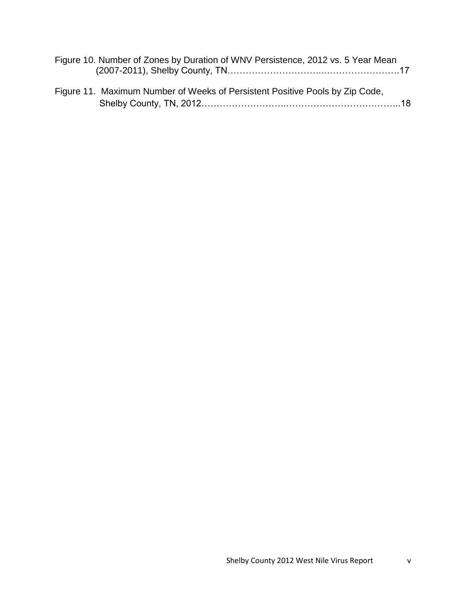| Figure 10. Number of Zones by Duration of WNV Persistence, 2012 vs. 5 Year Mean |  |
|---------------------------------------------------------------------------------|--|
|                                                                                 |  |

| Figure 11. Maximum Number of Weeks of Persistent Positive Pools by Zip Code, |  |
|------------------------------------------------------------------------------|--|
|                                                                              |  |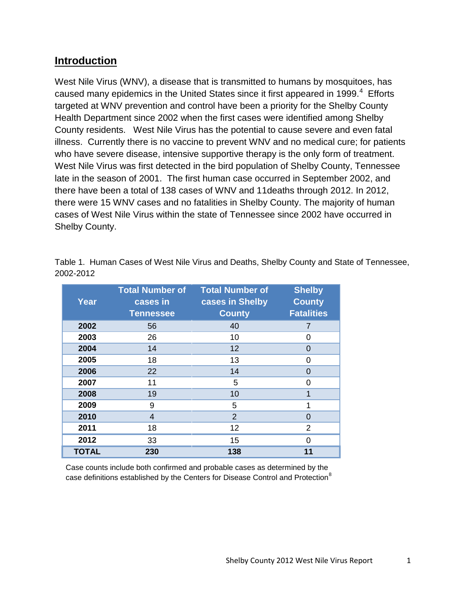### **Introduction**

West Nile Virus (WNV), a disease that is transmitted to humans by mosquitoes, has caused many epidemics in the United States since it first appeared in 1999. $4$  Efforts targeted at WNV prevention and control have been a priority for the Shelby County Health Department since 2002 when the first cases were identified among Shelby County residents. West Nile Virus has the potential to cause severe and even fatal illness. Currently there is no vaccine to prevent WNV and no medical cure; for patients who have severe disease, intensive supportive therapy is the only form of treatment. West Nile Virus was first detected in the bird population of Shelby County, Tennessee late in the season of 2001. The first human case occurred in September 2002, and there have been a total of 138 cases of WNV and 11deaths through 2012. In 2012, there were 15 WNV cases and no fatalities in Shelby County. The majority of human cases of West Nile Virus within the state of Tennessee since 2002 have occurred in Shelby County.

| Year         | <b>Total Number of</b><br>cases in<br><b>Tennessee</b> | <b>Total Number of</b><br>cases in Shelby<br><b>County</b> | <b>Shelby</b><br><b>County</b><br><b>Fatalities</b> |
|--------------|--------------------------------------------------------|------------------------------------------------------------|-----------------------------------------------------|
| 2002         | 56                                                     | 40                                                         | $\overline{7}$                                      |
| 2003         | 26                                                     | 10                                                         | 0                                                   |
| 2004         | 14                                                     | 12                                                         | 0                                                   |
| 2005         | 18                                                     | 13                                                         | 0                                                   |
| 2006         | 22                                                     | 14                                                         | $\Omega$                                            |
| 2007         | 11                                                     | 5                                                          | $\Omega$                                            |
| 2008         | 19                                                     | 10                                                         | 1                                                   |
| 2009         | 9                                                      | 5                                                          | 1                                                   |
| 2010         | 4                                                      | $\overline{2}$                                             | $\overline{0}$                                      |
| 2011         | 18                                                     | 12                                                         | 2                                                   |
| 2012         | 33                                                     | 15                                                         | $\Omega$                                            |
| <b>TOTAL</b> | 230                                                    | 138                                                        | 11                                                  |

Table 1. Human Cases of West Nile Virus and Deaths, Shelby County and State of Tennessee, 2002-2012

Case counts include both confirmed and probable cases as determined by the case definitions established by the Centers for Disease Control and Protection<sup>8</sup>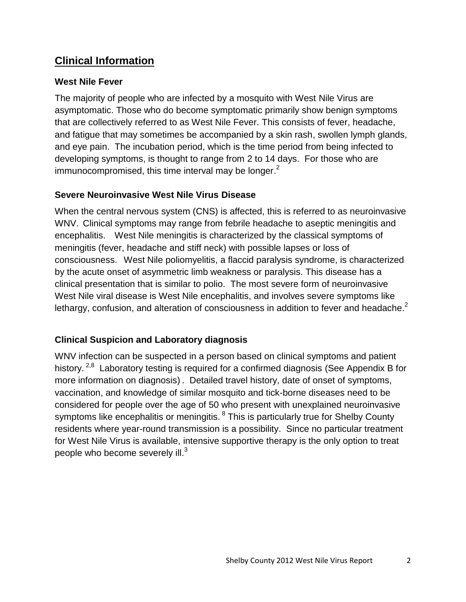# **Clinical Information**

#### **West Nile Fever**

The majority of people who are infected by a mosquito with West Nile Virus are asymptomatic. Those who do become symptomatic primarily show benign symptoms that are collectively referred to as West Nile Fever. This consists of fever, headache, and fatigue that may sometimes be accompanied by a skin rash, swollen lymph glands, and eye pain. The incubation period, which is the time period from being infected to developing symptoms, is thought to range from 2 to 14 days. For those who are immunocompromised, this time interval may be longer.<sup>2</sup>

#### **Severe Neuroinvasive West Nile Virus Disease**

When the central nervous system (CNS) is affected, this is referred to as neuroinvasive WNV. Clinical symptoms may range from febrile headache to aseptic meningitis and encephalitis. West Nile meningitis is characterized by the classical symptoms of meningitis (fever, headache and stiff neck) with possible lapses or loss of consciousness. West Nile poliomyelitis, a flaccid paralysis syndrome, is characterized by the acute onset of asymmetric limb weakness or paralysis. This disease has a clinical presentation that is similar to polio. The most severe form of neuroinvasive West Nile viral disease is West Nile encephalitis, and involves severe symptoms like lethargy, confusion, and alteration of consciousness in addition to fever and headache.<sup>2</sup>

#### **Clinical Suspicion and Laboratory diagnosis**

WNV infection can be suspected in a person based on clinical symptoms and patient history. <sup>2,8</sup> Laboratory testing is required for a confirmed diagnosis (See Appendix B for more information on diagnosis) . Detailed travel history, date of onset of symptoms, vaccination, and knowledge of similar mosquito and tick-borne diseases need to be considered for people over the age of 50 who present with unexplained neuroinvasive symptoms like encephalitis or meningitis. <sup>8</sup> This is particularly true for Shelby County residents where year-round transmission is a possibility. Since no particular treatment for West Nile Virus is available, intensive supportive therapy is the only option to treat people who become severely ill. $^3$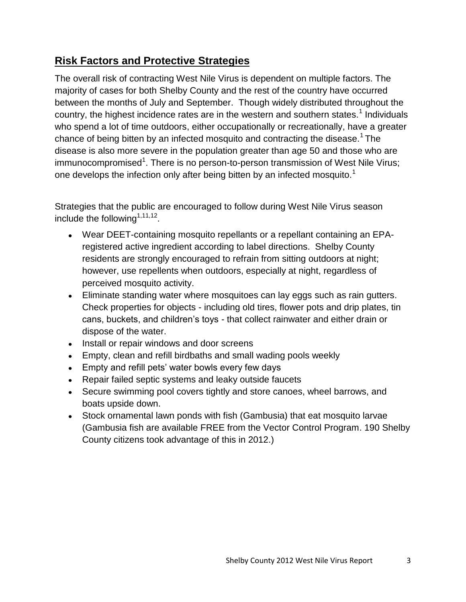# **Risk Factors and Protective Strategies**

The overall risk of contracting West Nile Virus is dependent on multiple factors. The majority of cases for both Shelby County and the rest of the country have occurred between the months of July and September. Though widely distributed throughout the country, the highest incidence rates are in the western and southern states.<sup>1</sup> Individuals who spend a lot of time outdoors, either occupationally or recreationally, have a greater chance of being bitten by an infected mosquito and contracting the disease.<sup>1</sup> The disease is also more severe in the population greater than age 50 and those who are immunocompromised<sup>1</sup>. There is no person-to-person transmission of West Nile Virus; one develops the infection only after being bitten by an infected mosquito.<sup>1</sup>

Strategies that the public are encouraged to follow during West Nile Virus season include the following $1,11,12$ .

- Wear DEET-containing mosquito repellants or a repellant containing an EPAregistered active ingredient according to label directions. Shelby County residents are strongly encouraged to refrain from sitting outdoors at night; however, use repellents when outdoors, especially at night, regardless of perceived mosquito activity.
- Eliminate standing water where mosquitoes can lay eggs such as rain gutters. Check properties for objects - including old tires, flower pots and drip plates, tin cans, buckets, and children"s toys - that collect rainwater and either drain or dispose of the water.
- Install or repair windows and door screens
- Empty, clean and refill birdbaths and small wading pools weekly
- Empty and refill pets' water bowls every few days
- Repair failed septic systems and leaky outside faucets
- Secure swimming pool covers tightly and store canoes, wheel barrows, and boats upside down.
- Stock ornamental lawn ponds with fish (Gambusia) that eat mosquito larvae (Gambusia fish are available FREE from the Vector Control Program. 190 Shelby County citizens took advantage of this in 2012.)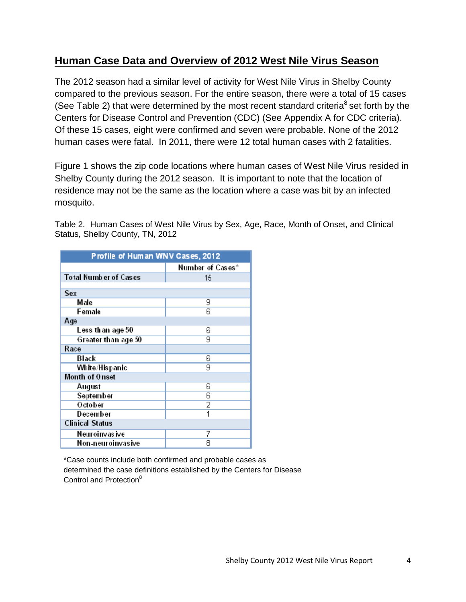# **Human Case Data and Overview of 2012 West Nile Virus Season**

The 2012 season had a similar level of activity for West Nile Virus in Shelby County compared to the previous season. For the entire season, there were a total of 15 cases (See Table 2) that were determined by the most recent standard criteria<sup>8</sup> set forth by the Centers for Disease Control and Prevention (CDC) (See Appendix A for CDC criteria). Of these 15 cases, eight were confirmed and seven were probable. None of the 2012 human cases were fatal. In 2011, there were 12 total human cases with 2 fatalities.

Figure 1 shows the zip code locations where human cases of West Nile Virus resided in Shelby County during the 2012 season. It is important to note that the location of residence may not be the same as the location where a case was bit by an infected mosquito.

Table 2. Human Cases of West Nile Virus by Sex, Age, Race, Month of Onset, and Clinical Status, Shelby County, TN, 2012

| Profile of Human WNV Cases, 2012 |                  |  |  |  |
|----------------------------------|------------------|--|--|--|
|                                  | Number of Cases* |  |  |  |
| <b>Total Number of Cases</b>     | 15               |  |  |  |
|                                  |                  |  |  |  |
| Sex                              |                  |  |  |  |
| Male                             | 9                |  |  |  |
| Female                           | 6                |  |  |  |
| Age                              |                  |  |  |  |
| Less th an age 50                | 6                |  |  |  |
| Greater than age 50              | 9                |  |  |  |
| Race                             |                  |  |  |  |
| Black                            | 6                |  |  |  |
| White/Hispanic                   | 9                |  |  |  |
| Month of Onset                   |                  |  |  |  |
| August                           | 6                |  |  |  |
| September                        | 6                |  |  |  |
| October                          | $\overline{2}$   |  |  |  |
| December                         | 1                |  |  |  |
| <b>Clinical Status</b>           |                  |  |  |  |
| Neuroinvas ive                   | 7                |  |  |  |
| Non-neuroinvasive                | 8                |  |  |  |

\*Case counts include both confirmed and probable cases as determined the case definitions established by the Centers for Disease Control and Protection<sup>8</sup>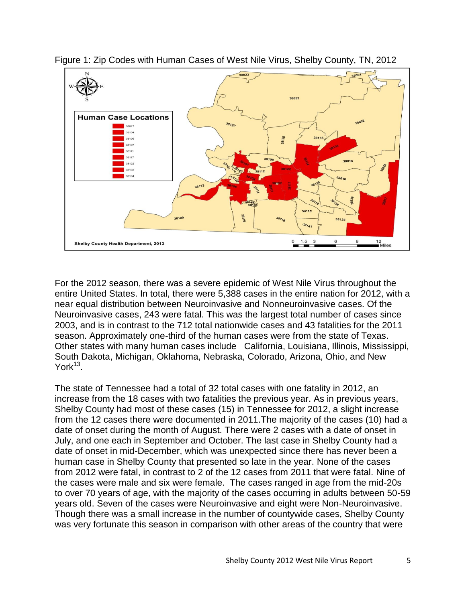

Figure 1: Zip Codes with Human Cases of West Nile Virus, Shelby County, TN, 2012

For the 2012 season, there was a severe epidemic of West Nile Virus throughout the entire United States. In total, there were 5,388 cases in the entire nation for 2012, with a near equal distribution between Neuroinvasive and Nonneuroinvasive cases. Of the Neuroinvasive cases, 243 were fatal. This was the largest total number of cases since 2003, and is in contrast to the 712 total nationwide cases and 43 fatalities for the 2011 season. Approximately one-third of the human cases were from the state of Texas. Other states with many human cases include California, Louisiana, Illinois, Mississippi, South Dakota, Michigan, Oklahoma, Nebraska, Colorado, Arizona, Ohio, and New  $York<sup>13</sup>$ .

The state of Tennessee had a total of 32 total cases with one fatality in 2012, an increase from the 18 cases with two fatalities the previous year. As in previous years, Shelby County had most of these cases (15) in Tennessee for 2012, a slight increase from the 12 cases there were documented in 2011.The majority of the cases (10) had a date of onset during the month of August. There were 2 cases with a date of onset in July, and one each in September and October. The last case in Shelby County had a date of onset in mid-December, which was unexpected since there has never been a human case in Shelby County that presented so late in the year. None of the cases from 2012 were fatal, in contrast to 2 of the 12 cases from 2011 that were fatal. Nine of the cases were male and six were female. The cases ranged in age from the mid-20s to over 70 years of age, with the majority of the cases occurring in adults between 50-59 years old. Seven of the cases were Neuroinvasive and eight were Non-Neuroinvasive. Though there was a small increase in the number of countywide cases, Shelby County was very fortunate this season in comparison with other areas of the country that were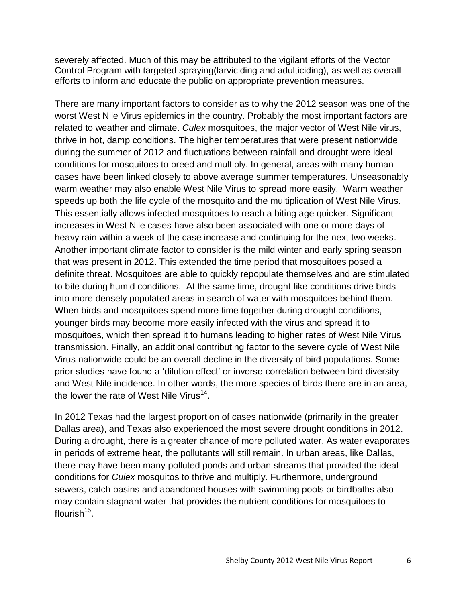severely affected. Much of this may be attributed to the vigilant efforts of the Vector Control Program with targeted spraying(larviciding and adulticiding), as well as overall efforts to inform and educate the public on appropriate prevention measures.

There are many important factors to consider as to why the 2012 season was one of the worst West Nile Virus epidemics in the country. Probably the most important factors are related to weather and climate. *Culex* mosquitoes, the major vector of West Nile virus, thrive in hot, damp conditions. The higher temperatures that were present nationwide during the summer of 2012 and fluctuations between rainfall and drought were ideal conditions for mosquitoes to breed and multiply. In general, areas with many human cases have been linked closely to above average summer temperatures. Unseasonably warm weather may also enable West Nile Virus to spread more easily. Warm weather speeds up both the life cycle of the mosquito and the multiplication of West Nile Virus. This essentially allows infected mosquitoes to reach a biting age quicker. Significant increases in West Nile cases have also been associated with one or more days of heavy rain within a week of the case increase and continuing for the next two weeks. Another important climate factor to consider is the mild winter and early spring season that was present in 2012. This extended the time period that mosquitoes posed a definite threat. Mosquitoes are able to quickly repopulate themselves and are stimulated to bite during humid conditions. At the same time, drought-like conditions drive birds into more densely populated areas in search of water with mosquitoes behind them. When birds and mosquitoes spend more time together during drought conditions, younger birds may become more easily infected with the virus and spread it to mosquitoes, which then spread it to humans leading to higher rates of West Nile Virus transmission. Finally, an additional contributing factor to the severe cycle of West Nile Virus nationwide could be an overall decline in the diversity of bird populations. Some prior studies have found a "dilution effect" or inverse correlation between bird diversity and West Nile incidence. In other words, the more species of birds there are in an area, the lower the rate of West Nile Virus<sup>14</sup>.

In 2012 Texas had the largest proportion of cases nationwide (primarily in the greater Dallas area), and Texas also experienced the most severe drought conditions in 2012. During a drought, there is a greater chance of more polluted water. As water evaporates in periods of extreme heat, the pollutants will still remain. In urban areas, like Dallas, there may have been many polluted ponds and urban streams that provided the ideal conditions for *Culex* mosquitos to thrive and multiply. Furthermore, underground sewers, catch basins and abandoned houses with swimming pools or birdbaths also may contain stagnant water that provides the nutrient conditions for mosquitoes to flourish<sup>15</sup>.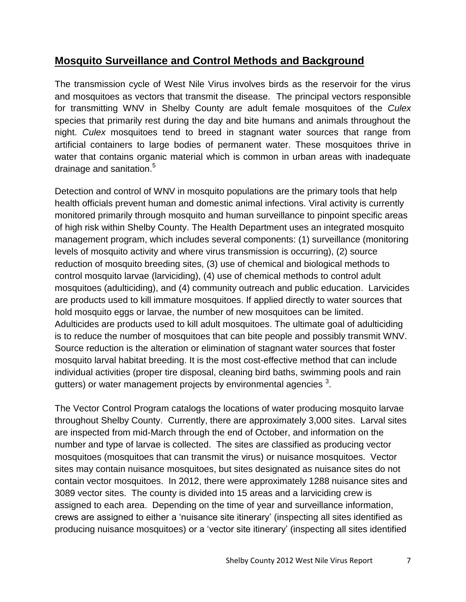# **Mosquito Surveillance and Control Methods and Background**

The transmission cycle of West Nile Virus involves birds as the reservoir for the virus and mosquitoes as vectors that transmit the disease. The principal vectors responsible for transmitting WNV in Shelby County are adult female mosquitoes of the *Culex*  species that primarily rest during the day and bite humans and animals throughout the night. *Culex* mosquitoes tend to breed in stagnant water sources that range from artificial containers to large bodies of permanent water. These mosquitoes thrive in water that contains organic material which is common in urban areas with inadequate drainage and sanitation.<sup>5</sup>

Detection and control of WNV in mosquito populations are the primary tools that help health officials prevent human and domestic animal infections. Viral activity is currently monitored primarily through mosquito and human surveillance to pinpoint specific areas of high risk within Shelby County. The Health Department uses an integrated mosquito management program, which includes several components: (1) surveillance (monitoring levels of mosquito activity and where virus transmission is occurring), (2) source reduction of mosquito breeding sites, (3) use of chemical and biological methods to control mosquito larvae (larviciding), (4) use of chemical methods to control adult mosquitoes (adulticiding), and (4) community outreach and public education. Larvicides are products used to kill immature mosquitoes. If applied directly to water sources that hold mosquito eggs or larvae, the number of new mosquitoes can be limited. Adulticides are products used to kill adult mosquitoes. The ultimate goal of adulticiding is to reduce the number of mosquitoes that can bite people and possibly transmit WNV. Source reduction is the alteration or elimination of stagnant water sources that foster mosquito larval habitat breeding. It is the most cost-effective method that can include individual activities (proper tire disposal, cleaning bird baths, swimming pools and rain gutters) or water management projects by environmental agencies  $^3$ .

The Vector Control Program catalogs the locations of water producing mosquito larvae throughout Shelby County. Currently, there are approximately 3,000 sites. Larval sites are inspected from mid-March through the end of October, and information on the number and type of larvae is collected. The sites are classified as producing vector mosquitoes (mosquitoes that can transmit the virus) or nuisance mosquitoes. Vector sites may contain nuisance mosquitoes, but sites designated as nuisance sites do not contain vector mosquitoes. In 2012, there were approximately 1288 nuisance sites and 3089 vector sites. The county is divided into 15 areas and a larviciding crew is assigned to each area. Depending on the time of year and surveillance information, crews are assigned to either a "nuisance site itinerary" (inspecting all sites identified as producing nuisance mosquitoes) or a "vector site itinerary" (inspecting all sites identified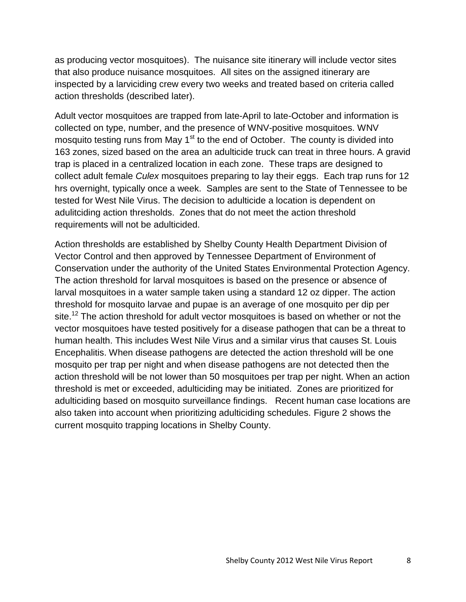as producing vector mosquitoes). The nuisance site itinerary will include vector sites that also produce nuisance mosquitoes. All sites on the assigned itinerary are inspected by a larviciding crew every two weeks and treated based on criteria called action thresholds (described later).

Adult vector mosquitoes are trapped from late-April to late-October and information is collected on type, number, and the presence of WNV-positive mosquitoes. WNV mosquito testing runs from May  $1<sup>st</sup>$  to the end of October. The county is divided into 163 zones, sized based on the area an adulticide truck can treat in three hours. A gravid trap is placed in a centralized location in each zone. These traps are designed to collect adult female *Culex* mosquitoes preparing to lay their eggs. Each trap runs for 12 hrs overnight, typically once a week. Samples are sent to the State of Tennessee to be tested for West Nile Virus. The decision to adulticide a location is dependent on adulitciding action thresholds. Zones that do not meet the action threshold requirements will not be adulticided.

Action thresholds are established by Shelby County Health Department Division of Vector Control and then approved by Tennessee Department of Environment of Conservation under the authority of the United States Environmental Protection Agency. The action threshold for larval mosquitoes is based on the presence or absence of larval mosquitoes in a water sample taken using a standard 12 oz dipper. The action threshold for mosquito larvae and pupae is an average of one mosquito per dip per site.<sup>12</sup> The action threshold for adult vector mosquitoes is based on whether or not the vector mosquitoes have tested positively for a disease pathogen that can be a threat to human health. This includes West Nile Virus and a similar virus that causes St. Louis Encephalitis. When disease pathogens are detected the action threshold will be one mosquito per trap per night and when disease pathogens are not detected then the action threshold will be not lower than 50 mosquitoes per trap per night. When an action threshold is met or exceeded, adulticiding may be initiated. Zones are prioritized for adulticiding based on mosquito surveillance findings. Recent human case locations are also taken into account when prioritizing adulticiding schedules. Figure 2 shows the current mosquito trapping locations in Shelby County.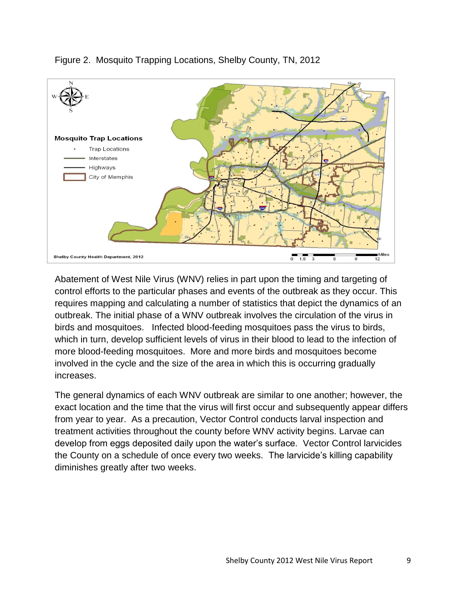

#### Figure 2. Mosquito Trapping Locations, Shelby County, TN, 2012

Abatement of West Nile Virus (WNV) relies in part upon the timing and targeting of control efforts to the particular phases and events of the outbreak as they occur. This requires mapping and calculating a number of statistics that depict the dynamics of an outbreak. The initial phase of a WNV outbreak involves the circulation of the virus in birds and mosquitoes. Infected blood-feeding mosquitoes pass the virus to birds, which in turn, develop sufficient levels of virus in their blood to lead to the infection of more blood-feeding mosquitoes. More and more birds and mosquitoes become involved in the cycle and the size of the area in which this is occurring gradually increases.

The general dynamics of each WNV outbreak are similar to one another; however, the exact location and the time that the virus will first occur and subsequently appear differs from year to year. As a precaution, Vector Control conducts larval inspection and treatment activities throughout the county before WNV activity begins. Larvae can develop from eggs deposited daily upon the water"s surface. Vector Control larvicides the County on a schedule of once every two weeks. The larvicide"s killing capability diminishes greatly after two weeks.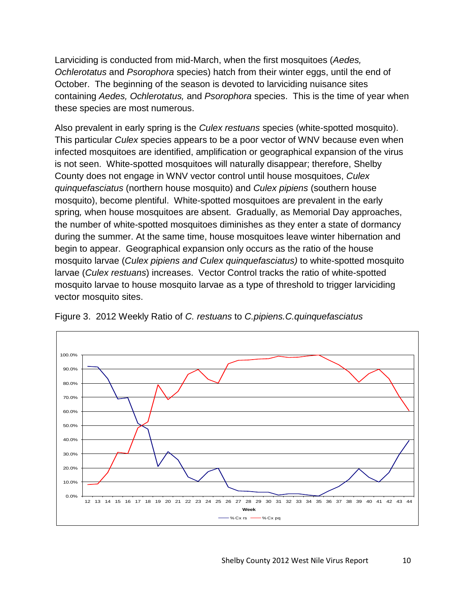Larviciding is conducted from mid-March, when the first mosquitoes (*Aedes, Ochlerotatus* and *Psorophora* species) hatch from their winter eggs, until the end of October. The beginning of the season is devoted to larviciding nuisance sites containing *Aedes, Ochlerotatus,* and *Psorophora* species. This is the time of year when these species are most numerous.

Also prevalent in early spring is the *Culex restuans* species (white-spotted mosquito). This particular *Culex* species appears to be a poor vector of WNV because even when infected mosquitoes are identified, amplification or geographical expansion of the virus is not seen. White-spotted mosquitoes will naturally disappear; therefore, Shelby County does not engage in WNV vector control until house mosquitoes, *Culex quinquefasciatus* (northern house mosquito) and *Culex pipiens* (southern house mosquito), become plentiful. White-spotted mosquitoes are prevalent in the early spring*,* when house mosquitoes are absent. Gradually, as Memorial Day approaches, the number of white-spotted mosquitoes diminishes as they enter a state of dormancy during the summer. At the same time, house mosquitoes leave winter hibernation and begin to appear. Geographical expansion only occurs as the ratio of the house mosquito larvae (*Culex pipiens and Culex quinquefasciatus)* to white-spotted mosquito larvae (*Culex restuans*) increases. Vector Control tracks the ratio of white-spotted mosquito larvae to house mosquito larvae as a type of threshold to trigger larviciding vector mosquito sites.



Figure 3. 2012 Weekly Ratio of *C. restuans* to *C.pipiens.C.quinquefasciatus*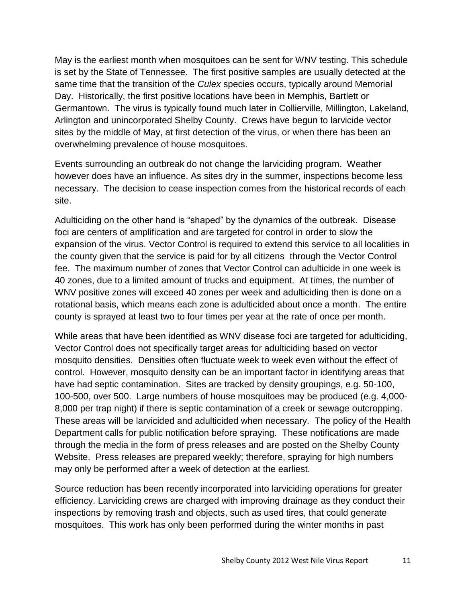May is the earliest month when mosquitoes can be sent for WNV testing. This schedule is set by the State of Tennessee. The first positive samples are usually detected at the same time that the transition of the *Culex* species occurs, typically around Memorial Day. Historically, the first positive locations have been in Memphis, Bartlett or Germantown. The virus is typically found much later in Collierville, Millington, Lakeland, Arlington and unincorporated Shelby County. Crews have begun to larvicide vector sites by the middle of May, at first detection of the virus, or when there has been an overwhelming prevalence of house mosquitoes.

Events surrounding an outbreak do not change the larviciding program. Weather however does have an influence. As sites dry in the summer, inspections become less necessary. The decision to cease inspection comes from the historical records of each site.

Adulticiding on the other hand is "shaped" by the dynamics of the outbreak. Disease foci are centers of amplification and are targeted for control in order to slow the expansion of the virus. Vector Control is required to extend this service to all localities in the county given that the service is paid for by all citizens through the Vector Control fee. The maximum number of zones that Vector Control can adulticide in one week is 40 zones, due to a limited amount of trucks and equipment. At times, the number of WNV positive zones will exceed 40 zones per week and adulticiding then is done on a rotational basis, which means each zone is adulticided about once a month. The entire county is sprayed at least two to four times per year at the rate of once per month.

While areas that have been identified as WNV disease foci are targeted for adulticiding, Vector Control does not specifically target areas for adulticiding based on vector mosquito densities. Densities often fluctuate week to week even without the effect of control. However, mosquito density can be an important factor in identifying areas that have had septic contamination. Sites are tracked by density groupings, e.g. 50-100, 100-500, over 500. Large numbers of house mosquitoes may be produced (e.g. 4,000- 8,000 per trap night) if there is septic contamination of a creek or sewage outcropping. These areas will be larvicided and adulticided when necessary. The policy of the Health Department calls for public notification before spraying. These notifications are made through the media in the form of press releases and are posted on the Shelby County Website. Press releases are prepared weekly; therefore, spraying for high numbers may only be performed after a week of detection at the earliest.

Source reduction has been recently incorporated into larviciding operations for greater efficiency. Larviciding crews are charged with improving drainage as they conduct their inspections by removing trash and objects, such as used tires, that could generate mosquitoes. This work has only been performed during the winter months in past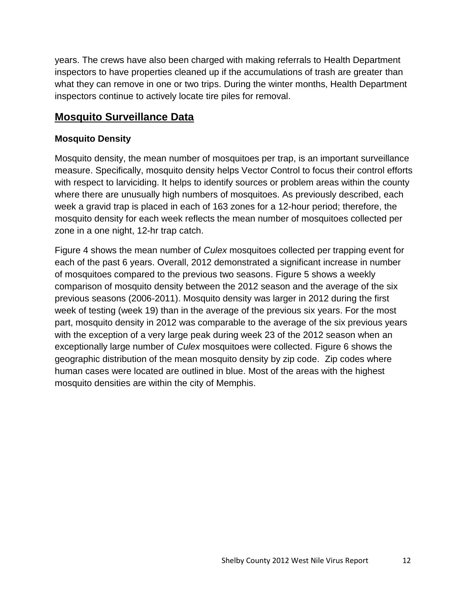years. The crews have also been charged with making referrals to Health Department inspectors to have properties cleaned up if the accumulations of trash are greater than what they can remove in one or two trips. During the winter months, Health Department inspectors continue to actively locate tire piles for removal.

# **Mosquito Surveillance Data**

#### **Mosquito Density**

Mosquito density, the mean number of mosquitoes per trap, is an important surveillance measure. Specifically, mosquito density helps Vector Control to focus their control efforts with respect to larviciding. It helps to identify sources or problem areas within the county where there are unusually high numbers of mosquitoes. As previously described, each week a gravid trap is placed in each of 163 zones for a 12-hour period; therefore, the mosquito density for each week reflects the mean number of mosquitoes collected per zone in a one night, 12-hr trap catch.

Figure 4 shows the mean number of *Culex* mosquitoes collected per trapping event for each of the past 6 years. Overall, 2012 demonstrated a significant increase in number of mosquitoes compared to the previous two seasons. Figure 5 shows a weekly comparison of mosquito density between the 2012 season and the average of the six previous seasons (2006-2011). Mosquito density was larger in 2012 during the first week of testing (week 19) than in the average of the previous six years. For the most part, mosquito density in 2012 was comparable to the average of the six previous years with the exception of a very large peak during week 23 of the 2012 season when an exceptionally large number of *Culex* mosquitoes were collected. Figure 6 shows the geographic distribution of the mean mosquito density by zip code. Zip codes where human cases were located are outlined in blue. Most of the areas with the highest mosquito densities are within the city of Memphis.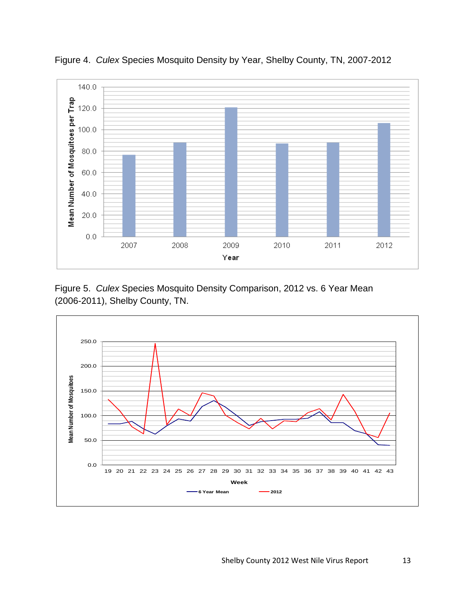

Figure 4. *Culex* Species Mosquito Density by Year, Shelby County, TN, 2007-2012

Figure 5. *Culex* Species Mosquito Density Comparison, 2012 vs. 6 Year Mean (2006-2011), Shelby County, TN.

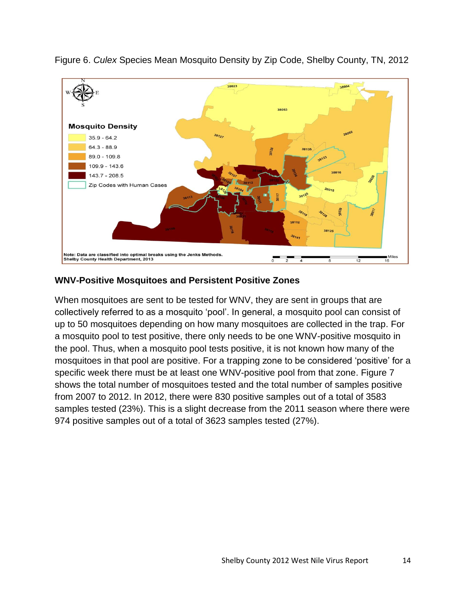

Figure 6. *Culex* Species Mean Mosquito Density by Zip Code, Shelby County, TN, 2012

#### **WNV-Positive Mosquitoes and Persistent Positive Zones**

When mosquitoes are sent to be tested for WNV, they are sent in groups that are collectively referred to as a mosquito "pool". In general, a mosquito pool can consist of up to 50 mosquitoes depending on how many mosquitoes are collected in the trap. For a mosquito pool to test positive, there only needs to be one WNV-positive mosquito in the pool. Thus, when a mosquito pool tests positive, it is not known how many of the mosquitoes in that pool are positive. For a trapping zone to be considered "positive" for a specific week there must be at least one WNV-positive pool from that zone. Figure 7 shows the total number of mosquitoes tested and the total number of samples positive from 2007 to 2012. In 2012, there were 830 positive samples out of a total of 3583 samples tested (23%). This is a slight decrease from the 2011 season where there were 974 positive samples out of a total of 3623 samples tested (27%).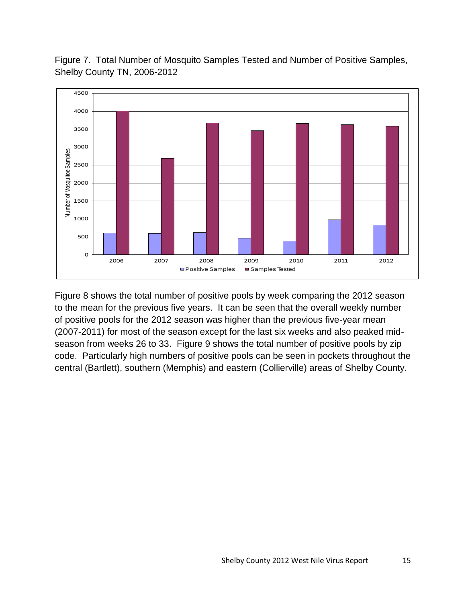Figure 7. Total Number of Mosquito Samples Tested and Number of Positive Samples, Shelby County TN, 2006-2012



Figure 8 shows the total number of positive pools by week comparing the 2012 season to the mean for the previous five years. It can be seen that the overall weekly number of positive pools for the 2012 season was higher than the previous five-year mean (2007-2011) for most of the season except for the last six weeks and also peaked midseason from weeks 26 to 33. Figure 9 shows the total number of positive pools by zip code. Particularly high numbers of positive pools can be seen in pockets throughout the central (Bartlett), southern (Memphis) and eastern (Collierville) areas of Shelby County.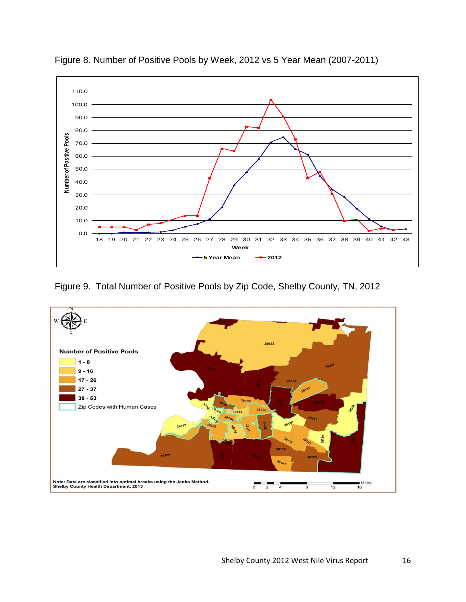

Figure 8. Number of Positive Pools by Week, 2012 vs 5 Year Mean (2007-2011)

Figure 9. Total Number of Positive Pools by Zip Code, Shelby County, TN, 2012

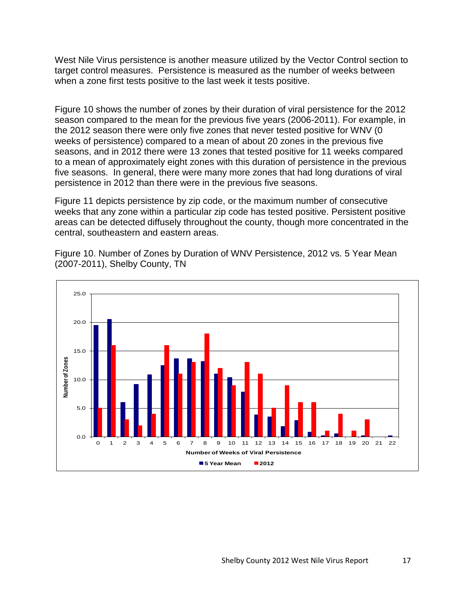West Nile Virus persistence is another measure utilized by the Vector Control section to target control measures. Persistence is measured as the number of weeks between when a zone first tests positive to the last week it tests positive.

Figure 10 shows the number of zones by their duration of viral persistence for the 2012 season compared to the mean for the previous five years (2006-2011). For example, in the 2012 season there were only five zones that never tested positive for WNV (0 weeks of persistence) compared to a mean of about 20 zones in the previous five seasons, and in 2012 there were 13 zones that tested positive for 11 weeks compared to a mean of approximately eight zones with this duration of persistence in the previous five seasons. In general, there were many more zones that had long durations of viral persistence in 2012 than there were in the previous five seasons.

Figure 11 depicts persistence by zip code, or the maximum number of consecutive weeks that any zone within a particular zip code has tested positive. Persistent positive areas can be detected diffusely throughout the county, though more concentrated in the central, southeastern and eastern areas.

Figure 10. Number of Zones by Duration of WNV Persistence, 2012 vs. 5 Year Mean (2007-2011), Shelby County, TN

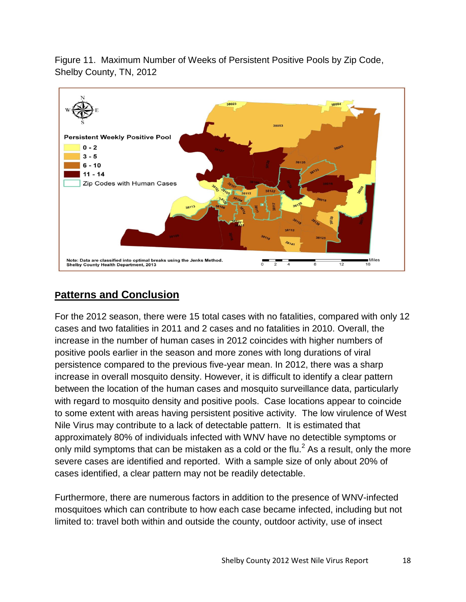Figure 11. Maximum Number of Weeks of Persistent Positive Pools by Zip Code, Shelby County, TN, 2012



# **Patterns and Conclusion**

For the 2012 season, there were 15 total cases with no fatalities, compared with only 12 cases and two fatalities in 2011 and 2 cases and no fatalities in 2010. Overall, the increase in the number of human cases in 2012 coincides with higher numbers of positive pools earlier in the season and more zones with long durations of viral persistence compared to the previous five-year mean. In 2012, there was a sharp increase in overall mosquito density. However, it is difficult to identify a clear pattern between the location of the human cases and mosquito surveillance data, particularly with regard to mosquito density and positive pools. Case locations appear to coincide to some extent with areas having persistent positive activity. The low virulence of West Nile Virus may contribute to a lack of detectable pattern. It is estimated that approximately 80% of individuals infected with WNV have no detectible symptoms or only mild symptoms that can be mistaken as a cold or the flu. $<sup>2</sup>$  As a result, only the more</sup> severe cases are identified and reported. With a sample size of only about 20% of cases identified, a clear pattern may not be readily detectable.

Furthermore, there are numerous factors in addition to the presence of WNV-infected mosquitoes which can contribute to how each case became infected, including but not limited to: travel both within and outside the county, outdoor activity, use of insect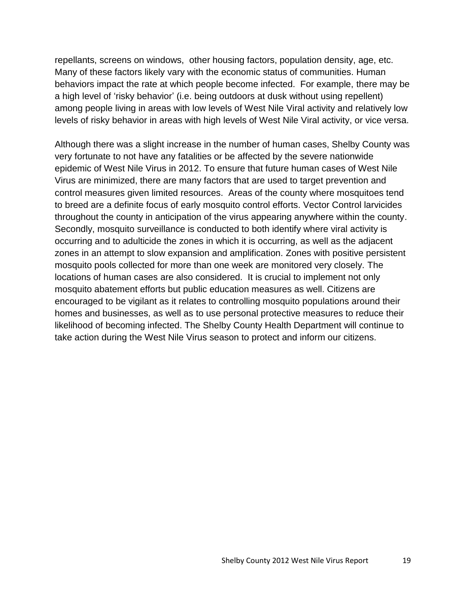repellants, screens on windows, other housing factors, population density, age, etc. Many of these factors likely vary with the economic status of communities. Human behaviors impact the rate at which people become infected. For example, there may be a high level of "risky behavior" (i.e. being outdoors at dusk without using repellent) among people living in areas with low levels of West Nile Viral activity and relatively low levels of risky behavior in areas with high levels of West Nile Viral activity, or vice versa.

Although there was a slight increase in the number of human cases, Shelby County was very fortunate to not have any fatalities or be affected by the severe nationwide epidemic of West Nile Virus in 2012. To ensure that future human cases of West Nile Virus are minimized, there are many factors that are used to target prevention and control measures given limited resources. Areas of the county where mosquitoes tend to breed are a definite focus of early mosquito control efforts. Vector Control larvicides throughout the county in anticipation of the virus appearing anywhere within the county. Secondly, mosquito surveillance is conducted to both identify where viral activity is occurring and to adulticide the zones in which it is occurring, as well as the adjacent zones in an attempt to slow expansion and amplification. Zones with positive persistent mosquito pools collected for more than one week are monitored very closely. The locations of human cases are also considered. It is crucial to implement not only mosquito abatement efforts but public education measures as well. Citizens are encouraged to be vigilant as it relates to controlling mosquito populations around their homes and businesses, as well as to use personal protective measures to reduce their likelihood of becoming infected. The Shelby County Health Department will continue to take action during the West Nile Virus season to protect and inform our citizens.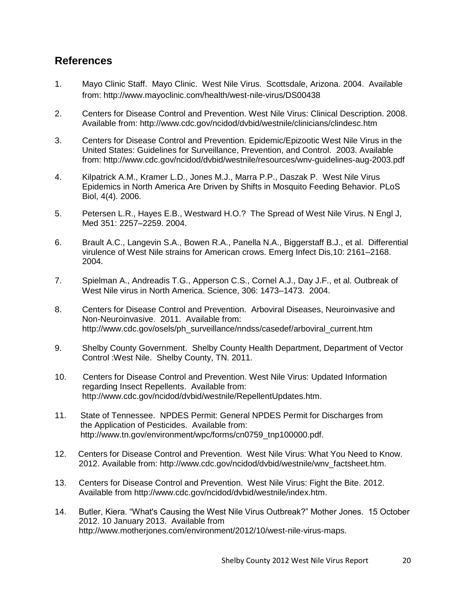#### **References**

- 1. Mayo Clinic Staff. Mayo Clinic. West Nile Virus. Scottsdale, Arizona. 2004. Available from: http://www.mayoclinic.com/health/west-nile-virus/DS00438
- 2. Centers for Disease Control and Prevention. West Nile Virus: Clinical Description. 2008. Available from: http://www.cdc.gov/ncidod/dvbid/westnile/clinicians/clindesc.htm
- 3. Centers for Disease Control and Prevention. Epidemic/Epizootic West Nile Virus in the United States: Guidelines for Surveillance, Prevention, and Control. 2003. Available from: http://www.cdc.gov/ncidod/dvbid/westnile/resources/wnv-guidelines-aug-2003.pdf
- 4. Kilpatrick A.M., Kramer L.D., Jones M.J., Marra P.P., Daszak P. West Nile Virus Epidemics in North America Are Driven by Shifts in Mosquito Feeding Behavior. PLoS Biol, 4(4). 2006.
- 5. Petersen L.R., Hayes E.B., Westward H.O.? The Spread of West Nile Virus. N Engl J, Med 351: 2257–2259. 2004.
- 6. Brault A.C., Langevin S.A., Bowen R.A., Panella N.A., Biggerstaff B.J., et al. Differential virulence of West Nile strains for American crows. Emerg Infect Dis,10: 2161–2168. 2004.
- 7. Spielman A., Andreadis T.G., Apperson C.S., Cornel A.J., Day J.F., et al. Outbreak of West Nile virus in North America. Science, 306: 1473–1473. 2004.
- 8. Centers for Disease Control and Prevention. Arboviral Diseases, Neuroinvasive and Non-Neuroinvasive. 2011. Available from: http://www.cdc.gov/osels/ph\_surveillance/nndss/casedef/arboviral\_current.htm
- 9. Shelby County Government. Shelby County Health Department, Department of Vector Control :West Nile. Shelby County, TN. 2011.
- 10. Centers for Disease Control and Prevention. West Nile Virus: Updated Information regarding Insect Repellents. Available from: http://www.cdc.gov/ncidod/dvbid/westnile/RepellentUpdates.htm.
- 11. State of Tennessee. NPDES Permit: General NPDES Permit for Discharges from the Application of Pesticides. Available from: http://www.tn.gov/environment/wpc/forms/cn0759\_tnp100000.pdf.
- 12. Centers for Disease Control and Prevention. West Nile Virus: What You Need to Know. 2012. Available from: http://www.cdc.gov/ncidod/dvbid/westnile/wnv\_factsheet.htm.
- 13. Centers for Disease Control and Prevention. West Nile Virus: Fight the Bite. 2012. Available from http://www.cdc.gov/ncidod/dvbid/westnile/index.htm.
- 14. Butler, Kiera. "What's Causing the West Nile Virus Outbreak?" Mother Jones. 15 October 2012. 10 January 2013. Available from http://www.motherjones.com/environment/2012/10/west-nile-virus-maps.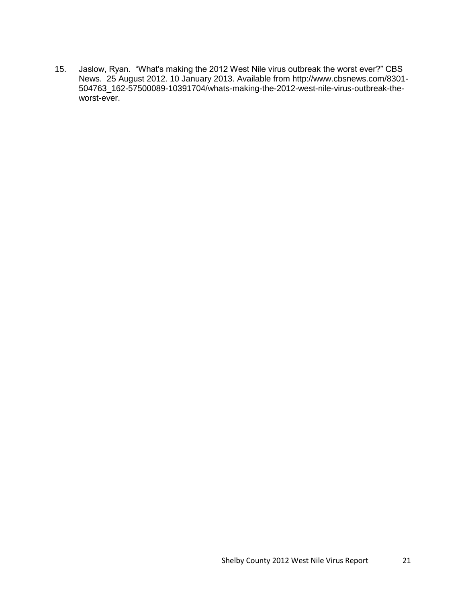15. Jaslow, Ryan. "What's making the 2012 West Nile virus outbreak the worst ever?" CBS News. 25 August 2012. 10 January 2013. Available from http://www.cbsnews.com/8301- 504763\_162-57500089-10391704/whats-making-the-2012-west-nile-virus-outbreak-theworst-ever.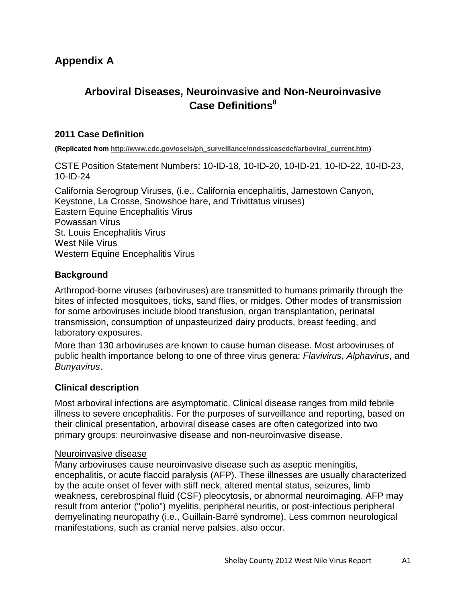# **Appendix A**

# **Arboviral Diseases, Neuroinvasive and Non-Neuroinvasive Case Definitions<sup>8</sup>**

#### **2011 Case Definition**

**(Replicated from http://www.cdc.gov/osels/ph\_surveillance/nndss/casedef/arboviral\_current.htm)**

CSTE Position Statement Numbers: 10-ID-18, 10-ID-20, 10-ID-21, 10-ID-22, 10-ID-23, 10-ID-24

California Serogroup Viruses, (i.e., California encephalitis, Jamestown Canyon, Keystone, La Crosse, Snowshoe hare, and Trivittatus viruses) Eastern Equine Encephalitis Virus Powassan Virus St. Louis Encephalitis Virus West Nile Virus Western Equine Encephalitis Virus

#### **Background**

Arthropod-borne viruses (arboviruses) are transmitted to humans primarily through the bites of infected mosquitoes, ticks, sand flies, or midges. Other modes of transmission for some arboviruses include blood transfusion, organ transplantation, perinatal transmission, consumption of unpasteurized dairy products, breast feeding, and laboratory exposures.

More than 130 arboviruses are known to cause human disease. Most arboviruses of public health importance belong to one of three virus genera: *Flavivirus*, *Alphavirus*, and *Bunyavirus*.

#### **Clinical description**

Most arboviral infections are asymptomatic. Clinical disease ranges from mild febrile illness to severe encephalitis. For the purposes of surveillance and reporting, based on their clinical presentation, arboviral disease cases are often categorized into two primary groups: neuroinvasive disease and non-neuroinvasive disease.

#### Neuroinvasive disease

Many arboviruses cause neuroinvasive disease such as aseptic meningitis, encephalitis, or acute flaccid paralysis (AFP). These illnesses are usually characterized by the acute onset of fever with stiff neck, altered mental status, seizures, limb weakness, cerebrospinal fluid (CSF) pleocytosis, or abnormal neuroimaging. AFP may result from anterior ("polio") myelitis, peripheral neuritis, or post-infectious peripheral demyelinating neuropathy (i.e., Guillain-Barré syndrome). Less common neurological manifestations, such as cranial nerve palsies, also occur.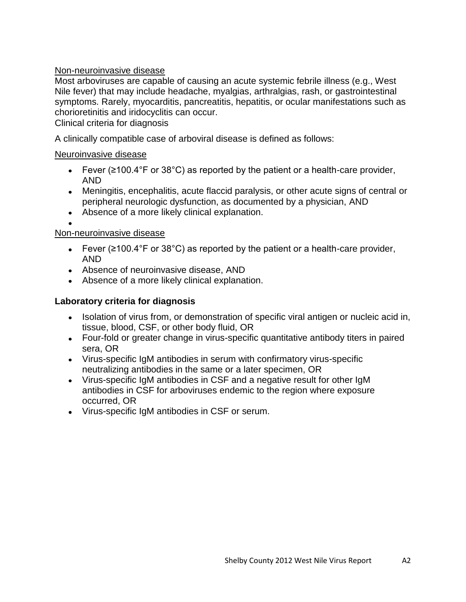#### Non-neuroinvasive disease

Most arboviruses are capable of causing an acute systemic febrile illness (e.g., West Nile fever) that may include headache, myalgias, arthralgias, rash, or gastrointestinal symptoms. Rarely, myocarditis, pancreatitis, hepatitis, or ocular manifestations such as chorioretinitis and iridocyclitis can occur.

Clinical criteria for diagnosis

A clinically compatible case of arboviral disease is defined as follows:

#### Neuroinvasive disease

- Fever ( $\geq 100.4^{\circ}$ F or 38 $^{\circ}$ C) as reported by the patient or a health-care provider, AND
- Meningitis, encephalitis, acute flaccid paralysis, or other acute signs of central or peripheral neurologic dysfunction, as documented by a physician, AND
- Absence of a more likely clinical explanation.

#### Non-neuroinvasive disease

- Fever ( $\geq$ 100.4°F or 38°C) as reported by the patient or a health-care provider, AND
- Absence of neuroinvasive disease, AND
- Absence of a more likely clinical explanation.

#### **Laboratory criteria for diagnosis**

- Isolation of virus from, or demonstration of specific viral antigen or nucleic acid in, tissue, blood, CSF, or other body fluid, OR
- Four-fold or greater change in virus-specific quantitative antibody titers in paired sera, OR
- Virus-specific IgM antibodies in serum with confirmatory virus-specific neutralizing antibodies in the same or a later specimen, OR
- Virus-specific IgM antibodies in CSF and a negative result for other IgM antibodies in CSF for arboviruses endemic to the region where exposure occurred, OR
- Virus-specific IgM antibodies in CSF or serum.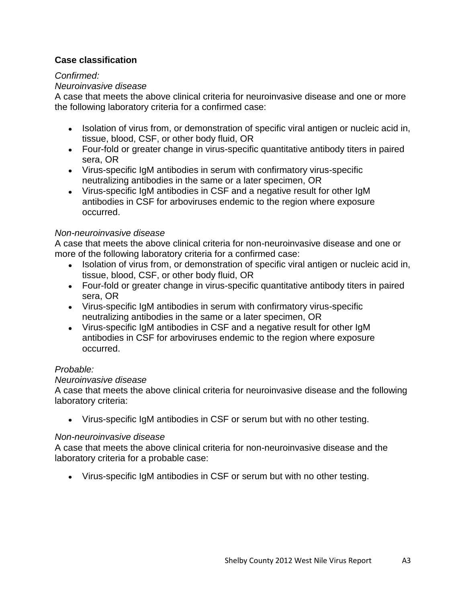#### **Case classification**

#### *Confirmed:*

#### *Neuroinvasive disease*

A case that meets the above clinical criteria for neuroinvasive disease and one or more the following laboratory criteria for a confirmed case:

- Isolation of virus from, or demonstration of specific viral antigen or nucleic acid in, tissue, blood, CSF, or other body fluid, OR
- Four-fold or greater change in virus-specific quantitative antibody titers in paired sera, OR
- Virus-specific IgM antibodies in serum with confirmatory virus-specific neutralizing antibodies in the same or a later specimen, OR
- Virus-specific IgM antibodies in CSF and a negative result for other IgM antibodies in CSF for arboviruses endemic to the region where exposure occurred.

#### *Non-neuroinvasive disease*

A case that meets the above clinical criteria for non-neuroinvasive disease and one or more of the following laboratory criteria for a confirmed case:

- Isolation of virus from, or demonstration of specific viral antigen or nucleic acid in, tissue, blood, CSF, or other body fluid, OR
- Four-fold or greater change in virus-specific quantitative antibody titers in paired sera, OR
- Virus-specific IgM antibodies in serum with confirmatory virus-specific neutralizing antibodies in the same or a later specimen, OR
- Virus-specific IgM antibodies in CSF and a negative result for other IgM antibodies in CSF for arboviruses endemic to the region where exposure occurred.

#### *Probable:*

#### *Neuroinvasive disease*

A case that meets the above clinical criteria for neuroinvasive disease and the following laboratory criteria:

Virus-specific IgM antibodies in CSF or serum but with no other testing.

#### *Non-neuroinvasive disease*

A case that meets the above clinical criteria for non-neuroinvasive disease and the laboratory criteria for a probable case:

Virus-specific IgM antibodies in CSF or serum but with no other testing.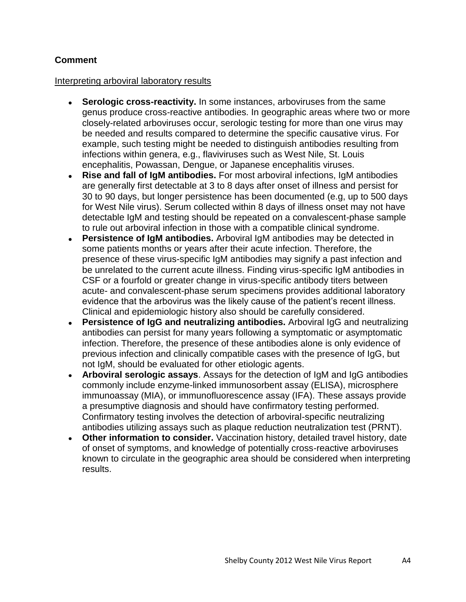#### **Comment**

#### Interpreting arboviral laboratory results

- **Serologic cross-reactivity.** In some instances, arboviruses from the same genus produce cross-reactive antibodies. In geographic areas where two or more closely-related arboviruses occur, serologic testing for more than one virus may be needed and results compared to determine the specific causative virus. For example, such testing might be needed to distinguish antibodies resulting from infections within genera, e.g., flaviviruses such as West Nile, St. Louis encephalitis, Powassan, Dengue, or Japanese encephalitis viruses.
- **Rise and fall of IgM antibodies.** For most arboviral infections, IgM antibodies are generally first detectable at 3 to 8 days after onset of illness and persist for 30 to 90 days, but longer persistence has been documented (e.g, up to 500 days for West Nile virus). Serum collected within 8 days of illness onset may not have detectable IgM and testing should be repeated on a convalescent-phase sample to rule out arboviral infection in those with a compatible clinical syndrome.
- **Persistence of IgM antibodies.** Arboviral IgM antibodies may be detected in some patients months or years after their acute infection. Therefore, the presence of these virus-specific IgM antibodies may signify a past infection and be unrelated to the current acute illness. Finding virus-specific IgM antibodies in CSF or a fourfold or greater change in virus-specific antibody titers between acute- and convalescent-phase serum specimens provides additional laboratory evidence that the arbovirus was the likely cause of the patient"s recent illness. Clinical and epidemiologic history also should be carefully considered.
- **Persistence of IgG and neutralizing antibodies.** Arboviral IgG and neutralizing  $\bullet$ antibodies can persist for many years following a symptomatic or asymptomatic infection. Therefore, the presence of these antibodies alone is only evidence of previous infection and clinically compatible cases with the presence of IgG, but not IgM, should be evaluated for other etiologic agents.
- **Arboviral serologic assays**. Assays for the detection of IgM and IgG antibodies commonly include enzyme-linked immunosorbent assay (ELISA), microsphere immunoassay (MIA), or immunofluorescence assay (IFA). These assays provide a presumptive diagnosis and should have confirmatory testing performed. Confirmatory testing involves the detection of arboviral-specific neutralizing antibodies utilizing assays such as plaque reduction neutralization test (PRNT).
- **Other information to consider.** Vaccination history, detailed travel history, date of onset of symptoms, and knowledge of potentially cross-reactive arboviruses known to circulate in the geographic area should be considered when interpreting results.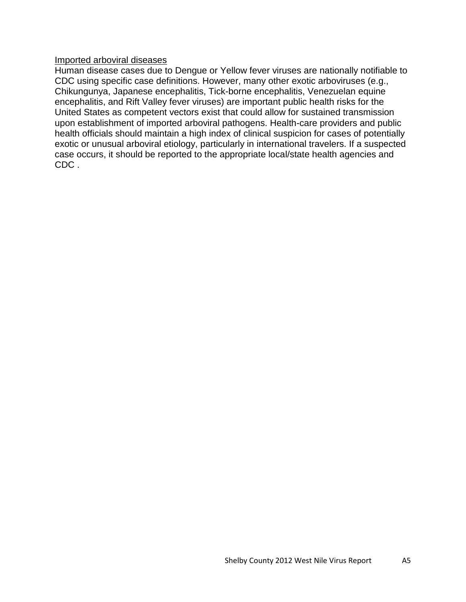#### Imported arboviral diseases

Human disease cases due to Dengue or Yellow fever viruses are nationally notifiable to CDC using specific case definitions. However, many other exotic arboviruses (e.g., Chikungunya, Japanese encephalitis, Tick-borne encephalitis, Venezuelan equine encephalitis, and Rift Valley fever viruses) are important public health risks for the United States as competent vectors exist that could allow for sustained transmission upon establishment of imported arboviral pathogens. Health-care providers and public health officials should maintain a high index of clinical suspicion for cases of potentially exotic or unusual arboviral etiology, particularly in international travelers. If a suspected case occurs, it should be reported to the appropriate local/state health agencies and CDC .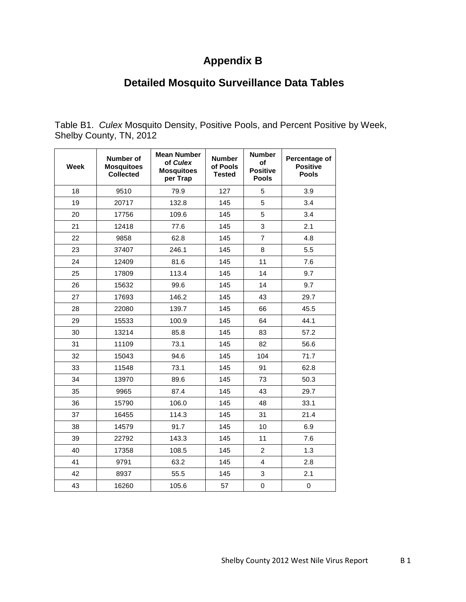# **Appendix B**

# **Detailed Mosquito Surveillance Data Tables**

Table B1. *Culex* Mosquito Density, Positive Pools, and Percent Positive by Week, Shelby County, TN, 2012

| <b>Week</b> | <b>Number of</b><br><b>Mosquitoes</b><br><b>Collected</b> | <b>Mean Number</b><br>of Culex<br><b>Mosquitoes</b><br>per Trap | <b>Number</b><br>of Pools<br><b>Tested</b> | <b>Number</b><br>οf<br><b>Positive</b><br><b>Pools</b> | Percentage of<br><b>Positive</b><br><b>Pools</b> |
|-------------|-----------------------------------------------------------|-----------------------------------------------------------------|--------------------------------------------|--------------------------------------------------------|--------------------------------------------------|
| 18          | 9510                                                      | 79.9                                                            | 127                                        | 5                                                      | 3.9                                              |
| 19          | 20717                                                     | 132.8                                                           | 145                                        | 5                                                      | 3.4                                              |
| 20          | 17756                                                     | 109.6                                                           | 145                                        | 5                                                      | 3.4                                              |
| 21          | 12418                                                     | 77.6                                                            | 145                                        | 3                                                      | 2.1                                              |
| 22          | 9858                                                      | 62.8                                                            | 145                                        | 7                                                      | 4.8                                              |
| 23          | 37407                                                     | 246.1                                                           | 145                                        | 8                                                      | 5.5                                              |
| 24          | 12409                                                     | 81.6                                                            | 145                                        | 11                                                     | 7.6                                              |
| 25          | 17809                                                     | 113.4                                                           | 145                                        | 14                                                     | 9.7                                              |
| 26          | 15632                                                     | 99.6                                                            | 145                                        | 14                                                     | 9.7                                              |
| 27          | 17693                                                     | 146.2                                                           | 145                                        | 43                                                     | 29.7                                             |
| 28          | 22080                                                     | 139.7                                                           | 145                                        | 66                                                     | 45.5                                             |
| 29          | 15533                                                     | 100.9                                                           | 145                                        | 64                                                     | 44.1                                             |
| 30          | 13214                                                     | 85.8                                                            | 145                                        | 83                                                     | 57.2                                             |
| 31          | 11109                                                     | 73.1                                                            | 145                                        | 82                                                     | 56.6                                             |
| 32          | 15043                                                     | 94.6                                                            | 145                                        | 104                                                    | 71.7                                             |
| 33          | 11548                                                     | 73.1                                                            | 145                                        | 91                                                     | 62.8                                             |
| 34          | 13970                                                     | 89.6                                                            | 145                                        | 73                                                     | 50.3                                             |
| 35          | 9965                                                      | 87.4                                                            | 145                                        | 43                                                     | 29.7                                             |
| 36          | 15790                                                     | 106.0                                                           | 145                                        | 48                                                     | 33.1                                             |
| 37          | 16455                                                     | 114.3                                                           | 145                                        | 31                                                     | 21.4                                             |
| 38          | 14579                                                     | 91.7                                                            | 145                                        | 10                                                     | 6.9                                              |
| 39          | 22792                                                     | 143.3                                                           | 145                                        | 11                                                     | 7.6                                              |
| 40          | 17358                                                     | 108.5                                                           | 145                                        | $\overline{2}$                                         | 1.3                                              |
| 41          | 9791                                                      | 63.2                                                            | 145                                        | 4                                                      | 2.8                                              |
| 42          | 8937                                                      | 55.5                                                            | 145                                        | 3                                                      | 2.1                                              |
| 43          | 16260                                                     | 105.6                                                           | 57                                         | 0                                                      | $\mathbf 0$                                      |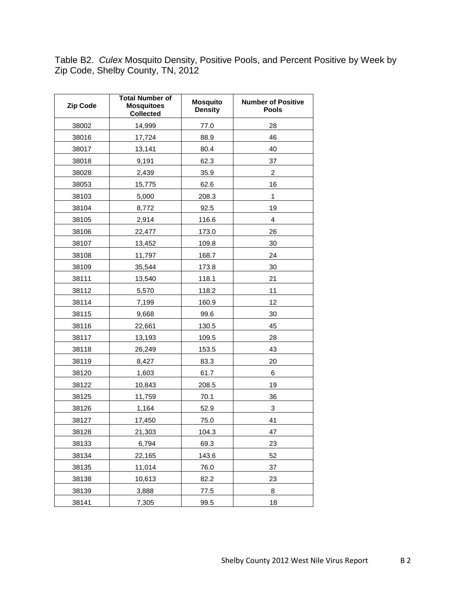Table B2. *Culex* Mosquito Density, Positive Pools, and Percent Positive by Week by Zip Code, Shelby County, TN, 2012

| Zip Code | <b>Total Number of</b><br><b>Mosquitoes</b><br><b>Collected</b> | <b>Mosquito</b><br><b>Density</b> | <b>Number of Positive</b><br><b>Pools</b> |
|----------|-----------------------------------------------------------------|-----------------------------------|-------------------------------------------|
| 38002    | 14,999                                                          | 77.0                              | 28                                        |
| 38016    | 17,724                                                          | 88.9                              | 46                                        |
| 38017    | 13,141                                                          | 80.4                              | 40                                        |
| 38018    | 9,191                                                           | 62.3                              | 37                                        |
| 38028    | 2,439                                                           | 35.9                              | $\overline{c}$                            |
| 38053    | 15,775                                                          | 62.6                              | 16                                        |
| 38103    | 5,000                                                           | 208.3                             | $\mathbf{1}$                              |
| 38104    | 8,772                                                           | 92.5                              | 19                                        |
| 38105    | 2,914                                                           | 116.6                             | 4                                         |
| 38106    | 22,477                                                          | 173.0                             | 26                                        |
| 38107    | 13,452                                                          | 109.8                             | 30                                        |
| 38108    | 11,797                                                          | 168.7                             | 24                                        |
| 38109    | 35,544                                                          | 173.8                             | 30                                        |
| 38111    | 13,540                                                          | 118.1                             | 21                                        |
| 38112    | 5,570                                                           | 118.2                             | 11                                        |
| 38114    | 7,199                                                           | 160.9                             | 12                                        |
| 38115    | 9,668                                                           | 99.6                              | 30                                        |
| 38116    | 22,661                                                          | 130.5                             | 45                                        |
| 38117    | 13,193                                                          | 109.5                             | 28                                        |
| 38118    | 26,249                                                          | 153.5                             | 43                                        |
| 38119    | 8,427                                                           | 83.3                              | 20                                        |
| 38120    | 1,603                                                           | 61.7                              | 6                                         |
| 38122    | 10,843                                                          | 208.5                             | 19                                        |
| 38125    | 11,759                                                          | 70.1                              | 36                                        |
| 38126    | 1,164                                                           | 52.9                              | 3                                         |
| 38127    | 17,450                                                          | 75.0                              | 41                                        |
| 38128    | 21.303                                                          | 104.3                             | 47                                        |
| 38133    | 6,794                                                           | 69.3                              | 23                                        |
| 38134    | 22,165                                                          | 143.6                             | 52                                        |
| 38135    | 11,014                                                          | 76.0                              | 37                                        |
| 38138    | 10,613                                                          | 82.2                              | 23                                        |
| 38139    | 3,888                                                           | 77.5                              | 8                                         |
| 38141    | 7,305                                                           | 99.5                              | 18                                        |